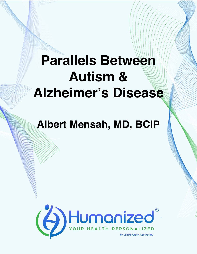## **Parallels Between Autism & Alzheimer's Disease**

## **Albert Mensah, MD, BCIP**

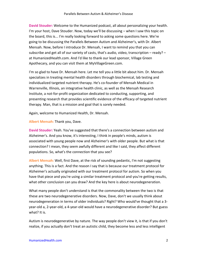**David Stouder:** Welcome to the Humanized podcast, all about personalizing your health. I'm your host, Dave Stouder. Now, today we'll be discussing – when I saw this topic on the board, this is... I'm really looking forward to asking some questions here. We're going to be discussing the Parallels Between Autism and Alzheimer's, with Dr. Albert Mensah. Now, before I introduce Dr. Mensah, I want to remind you that you can subscribe and get all of our variety of casts, that's audio, video, transcription – ready? – at HumanizedHealth.com. And I'd like to thank our lead sponsor, Village Green Apothecary, and you can visit them at MyVillageGreen.com.

I'm so glad to have Dr. Mensah here. Let me tell you a little bit about him. Dr. Mensah specializes in treating mental health disorders through biochemical, lab testing and individualized targeted nutrient therapy. He's co-founder of Mensah Medical in Warrenville, Illinois, an integrative health clinic, as well as the Mensah Research Institute, a not-for-profit organization dedicated to conducting, supporting, and presenting research that provides scientific evidence of the efficacy of targeted nutrient therapy. Man, that is a mission and goal that is sorely needed.

Again, welcome to Humanized Health, Dr. Mensah.

**Albert Mensah:** Thank you, Dave.

**David Stouder:** Yeah. You've suggested that there's a connection between autism and Alzheimer's. And you know, it's interesting, I think in people's minds, autism is associated with young people now and Alzheimer's with older people. But what is that connection? I mean, they seem awfully different and like I said, they affect different populations. So, what's the connection that you see?

**Albert Mensah:** Well, first Dave, at the risk of sounding pedantic, I'm not suggesting anything. This is a fact. And the reason I say that is because our treatment protocol for Alzheimer's actually originated with our treatment protocol for autism. So when you have that piece and you're using a similar treatment protocol and you're getting results, what other conclusion can you draw? And the key here is about neurodegeneration.

What many people don't understand is that the commonality between the two is that these are two neurodegenerative disorders. Now, Dave, don't we usually think about neurodegeneration in terms of older individuals? Right? Who would've thought that a 3 year-old a, 2-year-old, a 4-year-old would have a neurodegenerative disorder? But guess what? It is.

Autism is neurodegenerative by nature. The way people don't view it, is that if you don't realize, if you actually don't treat an autistic child, they become less and less intelligent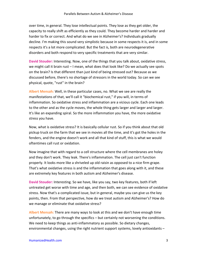over time, in general. They lose intellectual points. They lose as they get older, the capacity to really shift as efficiently as they could. They become harder and harder and harder to fix or correct. And what do we see in Alzheimer's? Individuals gradually decline. I'm making this sound very simplistic because in some respects it is, and in some respects it's a lot more complicated. But the fact is, both are neurodegenerative disorders and both respond to very specific treatments that are very similar.

**David Stouder:** Interesting. Now, one of the things that you talk about, oxidative stress, we might call it brain rust – I mean, what does that look like? Do we actually see spots on the brain? Is that different than just kind of being stressed out? Because as we discussed before, there's no shortage of stressors in the world today. So can we see physical, quote, "rust" in the brain?

**Albert Mensah:** Well, in these particular cases, no. What we see are really the manifestations of that, we'll call it "biochemical rust," if you will, in terms of inflammation. So oxidative stress and inflammation are a vicious cycle. Each one leads to the other and as the cycle moves, the whole thing gets larger and larger and larger. It's like an expanding spiral. So the more inflammation you have, the more oxidative stress you have.

Now, what is oxidative stress? It is basically cellular rust. So if you think about that old pickup truck on the farm that we see in movies all the time, and it's got the holes in the fenders, and the engine doesn't work and all that kind of stuff, this is what we would oftentimes call rust or oxidation.

Now imagine that with regard to a cell structure where the cell membranes are holey and they don't work. They leak. There's inflammation. The cell just can't function properly. It looks more like a shriveled up old raisin as opposed to a nice firm grape. That's what oxidative stress is and the inflammation that goes along with it, and these are extremely key features in both autism and Alzheimer's disease.

**David Stouder:** Interesting. So we have, like you say, two key features, both if left untreated get worse with time and age, and then both, we can see evidence of oxidative stress. Now that's a complicated issue, but in general, maybe you can give us the key points, then. From that perspective, how do we treat autism and Alzheimer's? How do we manage or eliminate that oxidative stress?

**Albert Mensah:** There are many ways to look at this and we don't have enough time unfortunately, to go through the specifics – but certainly not worsening the conditions. We need to keep things as anti-inflammatory as possible. So dietary changes, environmental changes, using the right nutrient support systems, lovely antioxidants –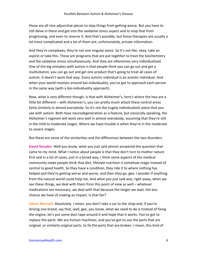those are all nice adjunctive pieces to stop things from getting worse. But you have to still delve in there and get into the oxidative stress aspect and to stop that from progressing, and even to reverse it. And that's possible, but those therapies are usually a lot more complicated and a lot of them are, unfortunately, private information.

And they're complexes, they're not one singular piece. So it's not like, okay, take an aspirin or take this. These are programs that are put together to treat the biochemistry and the oxidative stress simultaneously. And they are oftentimes very individualized. One of the big mistakes with autism is that people think you can go out and get a multivitamin, you can go out and get one product that's going to treat all cases of autism. It doesn't work that way. Every autistic individual is an autistic individual. And when your world revolves around bio-individuality, you've got to approach each person in the same way [with a bio-individuality approach].

Now, what is very different though, is that with Alzheimer's, here's where the two are a little bit different – with Alzheimer's, you can pretty much attack these central areas fairly similarly in almost everybody. So it's not the hugely individualistic piece that you see with autism. Both have neurodegeneration as a feature, but classically speaking, the Alzheimer's regimen will work very well in almost everybody, assuming that they're still in the mild to moderate stages. Where we have trouble is when they're in the moderate to severe stages.

But these are some of the similarities and the differences between the two disorders.

**David Stouder:** Well you know, what you just said almost answered the question that came to my mind. What I notice about people is that they don't turn to mother nature first and in a lot of cases, just in a broad way, I think some aspects of the medical community make people think that diet, lifestyle nutrition is somehow magic instead of central to good health. So they have a condition, they ride it to where nothing has helped and they're getting worse and worse, and then they go, gee, I wonder if anything from the natural world could help me. And what you just said was, right away, when we see these things, we deal with them from this point of view as well – whatever medications are necessary, we deal with that because the longer we wait, the less chance we have of making an impact. Is that fair?

**Albert Mensah:** Absolutely. I mean, you don't take a car to the shop and, if you're driving one brand, say that, well, gee, you know, what we need to do is instead of fixing the engine, let's put some duct tape around it and hope that it works. You've got to replace the parts. We are human machines, and you've got to use the parts that are original, or similarly original parts, to fix the parts that are broken. I mean, this kind of